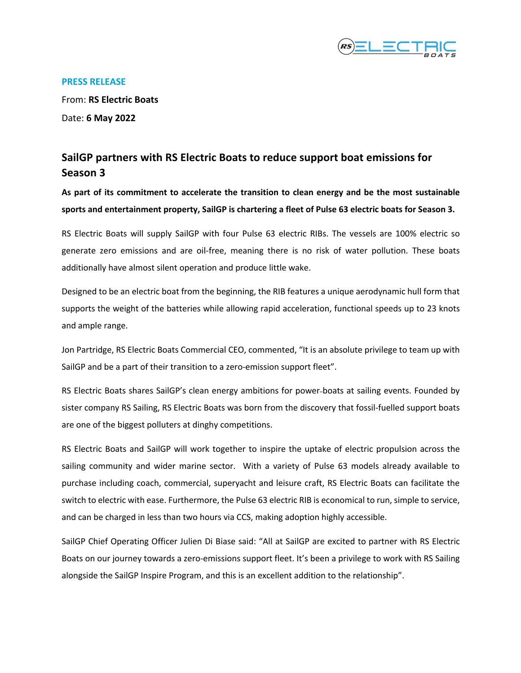

#### **PRESS RELEASE**

From: **RS Electric Boats** Date: **6 May 2022**

# **SailGP partners with RS Electric Boats to reduce support boat emissions for Season 3**

**As part of its commitment to accelerate the transition to clean energy and be the most sustainable sports and entertainment property, SailGP is chartering a fleet of Pulse 63 electric boats for Season 3.** 

RS Electric Boats will supply SailGP with four Pulse 63 electric RIBs. The vessels are 100% electric so generate zero emissions and are oil-free, meaning there is no risk of water pollution. These boats additionally have almost silent operation and produce little wake.

Designed to be an electric boat from the beginning, the RIB features a unique aerodynamic hull form that supports the weight of the batteries while allowing rapid acceleration, functional speeds up to 23 knots and ample range.

Jon Partridge, RS Electric Boats Commercial CEO, commented, "It is an absolute privilege to team up with SailGP and be a part of their transition to a zero-emission support fleet".

RS Electric Boats shares SailGP's clean energy ambitions for power-boats at sailing events. Founded by sister company RS Sailing, RS Electric Boats was born from the discovery that fossil-fuelled support boats are one of the biggest polluters at dinghy competitions.

RS Electric Boats and SailGP will work together to inspire the uptake of electric propulsion across the sailing community and wider marine sector. With a variety of Pulse 63 models already available to purchase including coach, commercial, superyacht and leisure craft, RS Electric Boats can facilitate the switch to electric with ease. Furthermore, the Pulse 63 electric RIB is economical to run, simple to service, and can be charged in less than two hours via CCS, making adoption highly accessible.

SailGP Chief Operating Officer Julien Di Biase said: "All at SailGP are excited to partner with RS Electric Boats on our journey towards a zero-emissions support fleet. It's been a privilege to work with RS Sailing alongside the SailGP Inspire Program, and this is an excellent addition to the relationship".